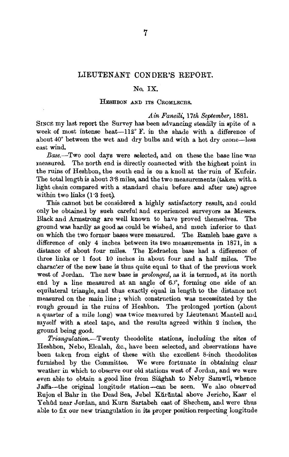# LIEUTENANT CONDER'S REPORT.

## No. IX.

### HESHBON AND ITS CROMLECBS.

### *A in Faneili, 17th September,* 1881.

SINCE my last report the Survey has been advancing steadily in spite of a week of most intense heat- $112^{\circ}$  F. in the shade with a difference of  $\frac{1}{2}$  and  $\frac{1}{2}$  between the wet and dry bulbs and with a hot dry ozone-less  $\frac{1}{2}$ *Base.-*Two cool days were selected, and on these the base line was

measured. The north end is directly connected with the highest point in the ruins of Heshbon, the south end is on a knoll at the ruin of Kufeir. The total length is about 3'8 miles, and the two measurements (taken witl. a light chain compared with a standard chain before and after now agree within two links (1·3 feet). within two links (1.3 feet).<br>This cannot but be considered a highly satisfactory result, and could

only be obtainej by sueh careful and experienced surveyors as Messrs. Black and Armstrong are well known to have proved themselves. The ground was hardly as good as coul<l be wished, and much inferior to that on which the two former bases were measured. The Ramleh base gave a difference of only 4 inches between its two measurements in 1871, in a distance of about four miles. The Esdraelon base had a difference of three links or 1 foot 10 inches in about four and a half miles. The character of the new base is thus quite equal to that of the previous work west of Jordan. The new base is *prolonged,* as it is termed, at its north end by a line measured at an angle of  $60^\circ$ , forming one side of an equilateral triangle, and thus exactly equal in length to the distance not measured on the main line; which construction was necessitated by the rough ground in the ruins of Heshbon. The prolonged portion (about a quarter of a mile long) was twice measured by Lieutenant Mantell and my8elf with a steel tape, and the results agreed within 2 inches, the ground being good;

*Triangvlation.-Twenty* theodolite stations, including the sites of Heshbon, Nebo, Elealah, &c., have been selected, and observations have been taken from eight of these with the excellent 8-inch theodolites furnished by the Committee. We were fortunate in obtaining clear furnished by the Committee. We were fortunate in obtaining clear weather in which to observe our old stations west of Jordan, and we were even able to obtain a good line from Siaghah to Neby Samwil, whence Jaffa-the original longitude station-can be seen. We also observed Rujon el Bahr in the Dead Sea, Jebel Kuruntal above Jericho, Kasr el Yehûd near Jordan, and Kurn Sartabeh east of Shechem, and were thus able to fix our new triangulation in its proper position respecting longitude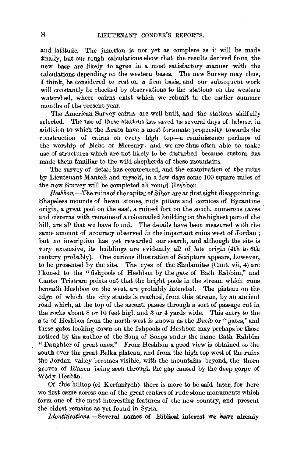and lafitude. The junction is not yet as complete as it will be made flatitude. The junction is not yet as complete as it will be made finally, but our rough calculations show that the results derived from the new hase are likely to agree in a most satisfactory manner with the calculations depending on the western bases. The new Survey may thus. I think, be considered to rest on a firm basis, and our subsequent work will constantly be checked by observations to the stations on the western watershed, where cairns exist which we rebuilt in the earlier summer months of the present year.  $T_{\text{max}}$  s of the present year.

The American Survey cairms are well built, and the stations skillully selected. The use of these stations has saved us several days of labour, in addition to which the Arabs have a most fortunate propensity towards the construction of cairns on every high top-a reminiscence perhaps of the worship of Nebo or Mercury-and we are thus often able to make use of structures which are not likely to be disturbed because custom has made them familiar to the wild shepherds of these mountains.

The survey of detail has commenced, and the examination of the ruins by Lieutenant Mantell and myself, in a few days some 100 square miles of the new Survey will be completed all round Heshbon.

 $Heshbon$ —The ruins of the capital of Sihon are at first sight disappointing. Shapeless mounds of hewn stones, rude pillars and cornices of Byzantine origin, a great pool on the east, a ruined fort on the south, numerous caves and cisterns with remains of a colonnaded building on the highest part of the hill, are all that we have found. The details have been measured with the same amount of accuracy observed in the important ruins west of Jordan; but no inscription has yet rewarded our search, and although the site is very extensive, its buildings are evidently all of late origin (4th to 6th century probably). One curious illustration of Scripture appears, however, to be presented by the site. The eyes of the Shulamites (Cant. vii, 4) are l kened to the "fishpools of Heshbon by the gate of Bath Rabbim." and Canon Tristram points out that the bright pools in the stream which runs beneath Heshbon on the west, are probably intended. The plateau on the edge of which the city stands is reached, from this stream, by an ancient road which, at the top of the ascent, passes through a sort of passage cut in the rocks about 8 or 10 feet high and 3 or 4 yards wide. This entry to the s te of Heshbon from the north-west is known as the Bueib or "gates," and these gates looking down on the fishpools of Heshbon may perhaps be those noticed by the author of the Song of Songs under the name Bath Rabbim "Daughter of great ones." From Heshbon a good view is obtained to the south over the great Belka plateau, and from the high top west of the ruins the Jordan valley becomes visible, with the mountains beyond, the thorn groves of Râmen being seen through the gap caused by the deep gorge of Wady Hesban.  $Hes$  hilltop (el Kerftmtyeh) there is more to be said later, for here is more to be said later, for  $h$ 

Of this hilltop (el Kerûmîyeh) there is more to be said later, for here we first came across one of the great centres of rude stone monuments which form one of the most interesting features of the new country, and present *Identificatians.* -Several names of Biblical interest we have already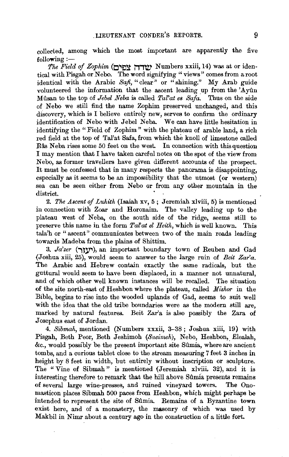collected, among which the most important are apparently the five  $following :=$ 

*The Field of Zophim* **(O'ItJ:!t i1,'tV'** Numbers xxiii, 14) was at or identical with Pisgah or Nebo. The word signifying "views" comes from a root identical with the Arabic *Safi,* "clear" or "shining." My Arab guide volunteered the information that the ascent leading up from the 'Ayun Milsan to the top of *Jebel Neba* is called *Tal' at es Safa.* Thus on the side of Nebo we still find the name Zophim preserved unchanged, and this discovery, which is I believe entirely new, serves to confirm the ordinary identification of Nebo with Jebel Neba. We can have little hesitation in identifying the "Field of Zophim " with the plateau of arable land, a rich red field at the top of Tal'at Safa, from which the knoll of limestone called Râs Neba rises some 50 feet on the west. In connection with this question I may mention that I have taken careful notes on the spot of the view from Nebo, as former travellers have given different accounts of the prospect. It must be confessed that in many respects the panorama is disappointing, especially as it seems to be an impossibility that the utmost (or western) sea can be seen either from Nebo or from any other mountain in the district.

2. *The Ascent of Luhith* (Isaiah xv, 5; Jeremiah xlviii, 5) is mentioned in connection with Zoar and Horonaim. The valley leading up to the plateau west of N eba, on the south side of the ridge, seems still to preserve this name in the form *Tal at el Heith,* which is well known. This tala'h or " ascent" communicates between two of the main roads leading towards Madeba from the plains of Shittim.

3. *Ja'zer* (יעזך), an important boundary town of Reuben and Gad (Joshua xiii, 25), would seem to answer to the large ruin of *Beit Zar'a.*  The Arabic and Hebrew contain exactly the same radicals, but the guttural would seem to have been displaced, in a manner not unnatural, and of which other well known instances will be recalled. The situation of the site north-east of Heshbon where the plateau, called *Mishor* in the Bible, begins to rise into the wooded uplands of Gad, seems to suit well with the idea that the old tribe bonndaries were as the modern still are, marked by natural features. Beit Zar'a is also possibly the Zara of Josephus east of Jordan.

4. *Sibmah,* mentioned (Numbers xxxii, 3-38; Joshua xiii, 19) with Pisgah, Beth Peor, Beth Jeshimoh (Sueimeh), Nebo, Heshbon, Elealah, &c., would possibly be the present important site Silmia, where are ancient tombs, and a curious tablet close to the stream measuring 7 feet 3 inches in height by 8 feet in width, but entirely without inscription or sculpture. The "Vine of Sibmah" is mentioned (Jeremiah xlviii. 32), and it is interesting therefore to remark that the hill above Sûmia presents remains of several large wine-presses, and ruined vineyard towers. The Onomasticon places Sibmah 500 paces from Heshbon, which might perhaps be intended to represent the site of Sûmia. Remains of a Byzantine town exist here, and of a monastery, the masonry of which was used by Makbil in Nimr about a century ago in the construction of a little fort.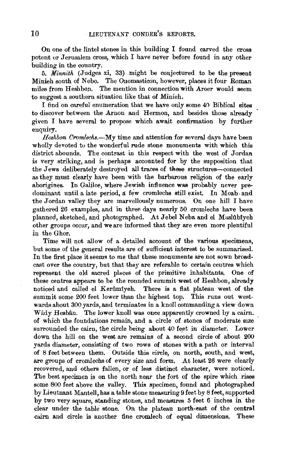On one of the lintel stones in this building I found carved the cross potent or Jerusalem cross, which I have never before found in any other building in the country.

5. Minnith (Judges xi, 33) might be conjectured to be the present Minieh south of Nebo. The Onomasticon, however, places it four Roman miles from Heshbop.. The mention in connection with Aroer would seem to suggest a southern situation like that of Minieh.

I find on careful enumeration that we have only some 40 Biblical sites to discover between the Arnon and Hermon, and besides those already given I have several to propose which await confirmation by further enquiry.

*Heshbon Cromlechs.-My* time and attention for several days have been wholly devoted to the wonderful rude stone monuments with which this district abounds. The contrast in this respect with the west of Jordan is very striking, and is perhaps accounted for by the supposition that the Jews deliberately destroyed all traces of these structures-connected as they must clearly have been with the barbarous religion of the early aborigines. In Galilee, where Jewish influence was probably never predominant until a late period, a few cromlechs still exist. In Moab. and the Jordan valley they are marvellously numerous. On one hill I have gathered 26 examples, and in three days nearly 50 cromlechs have been planned, sketched, and photographed. At Jebel Neba and el Maslubiyeh other groups occur, and we are informed that they are even more plentiful in the Ghor.

Time will not allow of a detailed account of the various specimens, but some of the general results are of sufficient interest to be summarised. In the first place it seems to me that these monuments are not sown broadcast over the country, but that they are referable to certain centres which represent the old sacred places of the primitive inhabitants. One of these centres appears to be the rounded summit west of Heshbon, already noticed and called el Kerûmîyeh. There is a flat plateau west of the summit some 200 feet lower than the highest top. This runs out westwards about 300 yards, and terminates in a knoll commanding a view down Wady Hesban. The lower knoll was once apparently crowned by a cairn, of which the foundations remain, and a circle of stones of moderate size surrounded the cairn, the circle being about 40 feet in diameter. Lower down the hill on the west are remains of a second circle of about 200 yards diameter, consisting of two rows of stones with a path or interval of 8 feet between them. Outside this circle, on north, south, and west, are groups of cromlechs of every size and form. At least 26 were clearly recovered, and others fallen, or of less distinct character, were noticed. The best specimen is on the north near the fort of the spire which rises some 800 feet above the valley. This specimen, found and photographed by Lieutnant Mantel!, has a table stone measuring 9 feet by 8 feet, supported by two very square, standing stones, and measures 5 feet 6 inches in the clear under the table stone. On the plateau north-east of the central cairn and circle is another fine cromlech of equal dimensions. These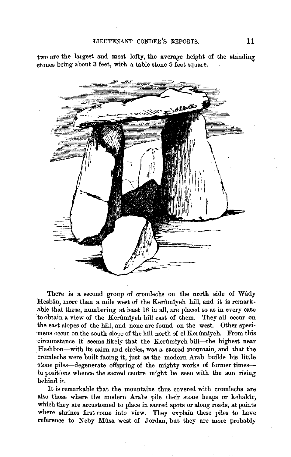two are the largest and most lofty, the average height of the standing stones being about 3 feet, with a table stone 5 feet square.



There is a second group of cromlechs on the north side of Wady Hesbân, more than a mile west of the Kerûmîyeh hill, and it is remarkable that these, numbering at least 16 in all, are placed so as in every case to obtain a view of the Kerûmiyeh hill east of them. They all occur on the east slopes of the hill, and none are found on the west. Other specimens occur on the south slope of the hill north of el Kerûmiyeh. From this circumstance it seems likely that the Kerûmîyeh hill-the highest near Heshbon-with its caim and circles, was a sacred mountain, and that the cromlechs were built facing it, just as the modern Arab builds his little stone piles-degenerate offspring of the mighty works of former timesin positions whence the sacred centre might be seen with the sun rising behind it.

It is remarkable that the mountains thus covered with cromlechs are also those where the modern Arabs pile their stone heaps or kehaktr, which they are accustomed to place in sacred spots or along roads, at points where shrines first come into view. They explain these piles to have reference to Neby Mûsa west of Jordan, but they are more probably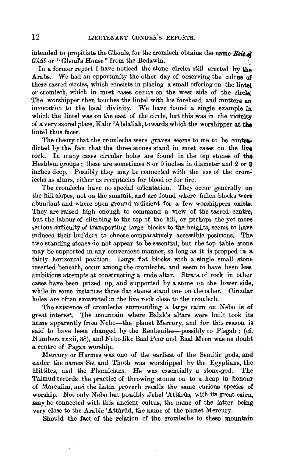intended to propitiate the Ghouls, for the cromlech obtains the name Beit at Ghall or "Ghoul's House" from the Bedawin.

In a former report I have noticed the stone circles still erected by the Arabs. We had an opportunity the other day of observing the cultus of these sacred circles, which consists in placing a small offering on the lintel or cromlech, which in most cases occurs on the west side of the circle: The worshipper then touches the lintel with his forehead and mutters an invocation to the local divinity. We have found a single example in which the lintel was on the east of the circle, but this was in the vicinity of a very sacred place, Kabr 'Abdallah, towards which the worshipper at the lintel thus faces.

The theory that the cromlechs were graves seems to me to be contradicted by the fact that the three stones stand in most cases on the live rock. In many cases circular holes are found in the top stones of the Heshbon groups; these are sometimes 8 or 9 inches in diameter and 2 or 3 inches deep. Possibly they may be connected with the use of the crom· lechs as altars, either as receptacles for blood or for fire.

The cromlechs have no special orientation. They occur generally on the hill slopes, not on the summit, and are found where fallen blocks were abundant and where open ground sufficient for a few worshippers exists. They are raised high enough to command a view of the sacred centre, but the labour of climbing to the top of the hill, or perhaps the yet more serious difficulty of transporting large blocks to the heights, seems to have induced their builders to choose comparatively accessible positions. The two standing stones do not appear to be essential, but the top table stone may be supported in any convenient manner, so long as it is propped in a fairly horizontal position. Large flat blocks with a single small stone inserted beneath, occur among the cromlechs, and seem to have been less ambitious attempts at constructing a rude altar. Strata of rock in other cases have been prized up, and supported by a stone on the lower side, while in some instances three flat stones stand one on the other. Circular holes are often excavated in the live rock close to the cromlech.

The existence of cromlechs surrounding a large cairn on Nebo is of great interest. The mountain where Balak's altars were built took its name apparently from Nebo-the planet Mercury, and for this reason is said to have been changed by the Reubenites-possibly to Pisgah; (cf. Numbers xxxii, 38), and Nebo like Baal Peor and Baal Meon was no doubt a centre of Pagan worship.

Mercury or Hermes was one of the earliest of the Semitic gods, and under the names Set and Thoth was worshipped by the Egyptians, the Hittites, and the Phoonicians. He was essentially a stone-god. The Talmud records the practice of throwing stones on to a heap in honour of Marculim, and the Latin proverb recalls the same curious speeies of worship. Not only Nebo but possibly Jebel 'Attarus, with its great cairn, may be connected with this ancient cultus, the name of the latter being very close to the Arabic 'Attârûd, the name of the planet Mercury.

Should the fact of the relation of the cromlechs to these mountain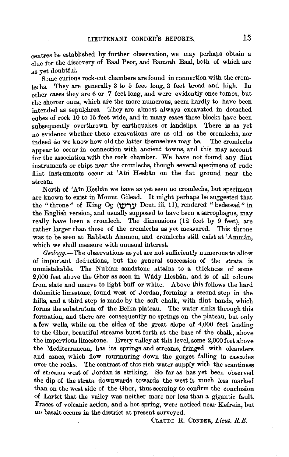centres be established by further observation, we may perhaps obtain a clue for the discovery of Baal Peor, and Bamoth Baal, both of which are as yet doubtful.

Some curious rock-cut chambers are found in connection with the cromlechs. They are generally 3 to 5 feet long, 3 feet broad and high. In other. cases they are 6 or 7 feet long, and were evidently once tombs, but the shorter ones, which are the more numerous, seem hardly to have been intended as sepulchres. They are almost always excavated in detached cubes of rock 10 to 15 feet wide, and in many cases these blocks have been subsequently overthrown by earthquakes or landslips. There is as yet no evidence whether these excavations are as old as the cromlechs, nor indeed do we know how old the latter themselves may be. The cromlechs appear to occur in connection with ancient towns, and this may account for the association with the rock chamber. We have not found any flint instruments or chips near the cromlechs, though several specimens of rude flint instruments occur at 'Ain Hesbân on the flat ground near the stream.

North of 'Ain Hesbân we have as yet seen no cromlechs, but specimens are known to exist in Mount Gilead. It might perhaps be suggested that the "throne" of King Og ('try' Deut. iii, 11), rendered "bedstead" in the English version, and usually supposed to have been a sarcophagus, may really have heen a cromlech. The dimensions (12 feet by 9 feet), are rather larger than those of the cromlechs as yet measured. This throne was to be seen at Rabbath Ammon, and cromlechs still exist at 'Amman, which we shall measure with unusual interest.

*Geology.-*The observations as yet are not sufficiently numerous to allow of important deductions, but the general succession of the strata is unmistakable. The Nubian sandstone attains to a thickness of some 2,000 feet above the Ghor as seen in Wâdy Hesbân, and is of all colours from slate and mauve to light buff or white. Above this follows the hard dolomitic limestone, found west of Jordan, forming a second step in the hills, and a third step is made by the soft chalk, with flint bands, which forms the substratum of the Belka plateau. The water sinks through this formation, and there are consequently no springs on the plateau, but only a few wells, while on the sides of the great slope of 4,000 feet leading to the Ghor, beautiful streams burst forth at the base of the chalk, above the impervious limestone. Every valley at this level, some 2,000 feet above the Mediterranean, has its springs and streams, fringed with oleanders and canes, which flow murmuring down the gorges falling in cascades over the rocks. The contrast of this rich water-supply with the scantiness of streams west of Jordan is striking. So far as has yet been observed the dip of the strata downwards towards the west is much less marked than on the west side of the Ghor, thus seeming to confirm the conclusion of Lartet that the valley was neither more nor less than a gigantic fault. Traces of volcanic action, and a hot spring, vere noticed near Kefrein, but no basalt occurs in the district at present svrveyed.

CLAUDE R. CoNDER, *Lieut. R.E.*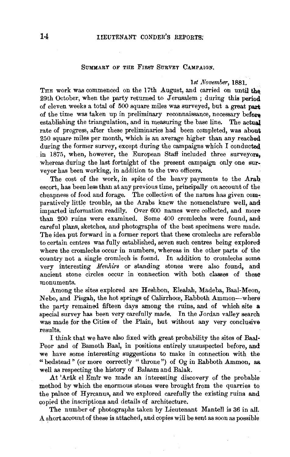### SUMMARY OF THE FIRST SURVEY CAMPAIGN.

#### *lst November,* 1881.

THE work was commenced on the 17th August, and carried on until the 29th October, when the party returned to Jerusalem ; during this period of eleven weeks a total of 500 square miles was surveyed, but a great part of the time was taken up in preliminary reconnaissance, necessary before establishing the triangulation, and in measuring the base line. The actual rate of progress, after these preliminaries had been completed, was about 250 square miles per month, which is an average higher than any reached during the former survey, except during the campaigns which  $I$  conducted in 1875, when, however, the European Staff included three surveyors, whereas during the last fortnight of the present campaign only one surveyor has been working, in addition to the two officers.

The cost of the work, in spite of the heavy payments to the Arab escort, has been less than at any previous time, principally on account of the cheapness of food and forage. The collection of the names has given comparatively little trouble, as the Arabs knew the nomenclature well, and imparted information readily. Over 600 names were collected, and more than 200 ruins were examined. Some 400 cromlechs were found, and careful plans, sketches, and photographs of the best specimens were made. The idea put forward in a former report that these cromlechs are referable to certain centres was fully established, seven such centres being explored where the cromlechs occur in numbers, whereas in the other parts of the country not a single cromlech is found. In addition to cromlechs some very interesting *Menhirs* or standing stones were also found, and ancient stone circles occur in connection with both classes of these monuments.

Among the sites explored are Heshbon, Elealah, Madeba, Baal-Meon, Nebo, and Pisgah, the hot springs of Calirrhoce, Rabboth Ammon-where the party remained fifteen days among the ruins, and of which site a special survey has been very carefully made. In the Jordan valley search was made for the Cities of the Plain, but without any very conclusive results.

I think that we have also fixed with great probability the sites of Baal-Peor and of Bamoth Baal, in positions entirely unsuspected before, and we have some interesting suggestions to make in connection with the "bedstead" (or more correctly "throne") of  $Og$  in Rabboth Ammon, as. well as respecting the history of Balaam and Balak.

At 'Arftk el Emir we made an interesting discovery of the probable method by which the enormous stones were brought from the quarries to the palace of Hyrcanus, and we explored carefully the existing ruins and copied the inscriptions and details of architecture.

The number of photographs taken by Lieutenant Mantell is 36 in all. A short account of these is attached, and copies will be sent as soon as possible